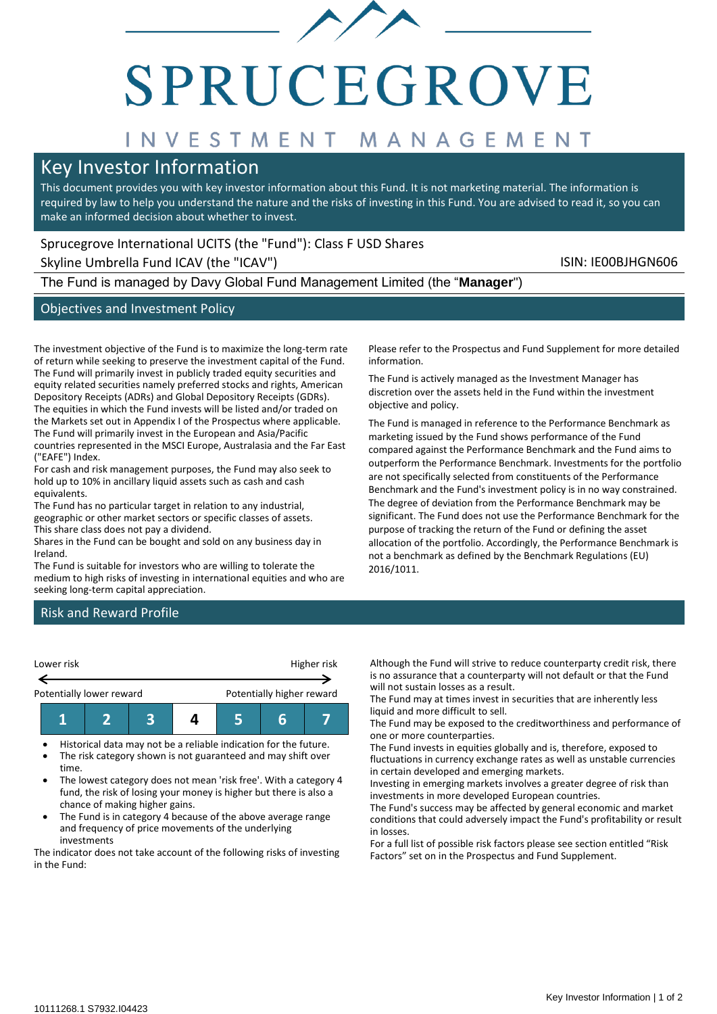

# SPRUCEGROVE

# INVESTMENT MANAGEMENT

# Key Investor Information

This document provides you with key investor information about this Fund. It is not marketing material. The information is required by law to help you understand the nature and the risks of investing in this Fund. You are advised to read it, so you can make an informed decision about whether to invest.

# Sprucegrove International UCITS (the "Fund"): Class F USD Shares

Skyline Umbrella Fund ICAV (the "ICAV") Skyline Umbrella Fund ICAV (the "ICAV")

The Fund is managed by Davy Global Fund Management Limited (the "**Manager**")

# Objectives and Investment Policy

The investment objective of the Fund is to maximize the long-term rate of return while seeking to preserve the investment capital of the Fund. The Fund will primarily invest in publicly traded equity securities and equity related securities namely preferred stocks and rights, American Depository Receipts (ADRs) and Global Depository Receipts (GDRs). The equities in which the Fund invests will be listed and/or traded on the Markets set out in Appendix I of the Prospectus where applicable. The Fund will primarily invest in the European and Asia/Pacific countries represented in the MSCI Europe, Australasia and the Far East ("EAFE") Index.

For cash and risk management purposes, the Fund may also seek to hold up to 10% in ancillary liquid assets such as cash and cash equivalents.

The Fund has no particular target in relation to any industrial, geographic or other market sectors or specific classes of assets. This share class does not pay a dividend.

Shares in the Fund can be bought and sold on any business day in Ireland.

The Fund is suitable for investors who are willing to tolerate the medium to high risks of investing in international equities and who are seeking long-term capital appreciation.

Please refer to the Prospectus and Fund Supplement for more detailed information.

The Fund is actively managed as the Investment Manager has discretion over the assets held in the Fund within the investment objective and policy.

The Fund is managed in reference to the Performance Benchmark as marketing issued by the Fund shows performance of the Fund compared against the Performance Benchmark and the Fund aims to outperform the Performance Benchmark. Investments for the portfolio are not specifically selected from constituents of the Performance Benchmark and the Fund's investment policy is in no way constrained. The degree of deviation from the Performance Benchmark may be significant. The Fund does not use the Performance Benchmark for the purpose of tracking the return of the Fund or defining the asset allocation of the portfolio. Accordingly, the Performance Benchmark is not a benchmark as defined by the Benchmark Regulations (EU) 2016/1011.

### Risk and Reward Profile



• Historical data may not be a reliable indication for the future. • The risk category shown is not guaranteed and may shift over

- time. • The lowest category does not mean 'risk free'. With a category 4
- fund, the risk of losing your money is higher but there is also a chance of making higher gains.
- The Fund is in category 4 because of the above average range and frequency of price movements of the underlying investments

The indicator does not take account of the following risks of investing in the Fund:

Although the Fund will strive to reduce counterparty credit risk, there is no assurance that a counterparty will not default or that the Fund will not sustain losses as a result.

The Fund may at times invest in securities that are inherently less liquid and more difficult to sell.

The Fund may be exposed to the creditworthiness and performance of one or more counterparties.

The Fund invests in equities globally and is, therefore, exposed to fluctuations in currency exchange rates as well as unstable currencies in certain developed and emerging markets.

Investing in emerging markets involves a greater degree of risk than investments in more developed European countries.

The Fund's success may be affected by general economic and market conditions that could adversely impact the Fund's profitability or result in losses.

For a full list of possible risk factors please see section entitled "Risk Factors" set on in the Prospectus and Fund Supplement.